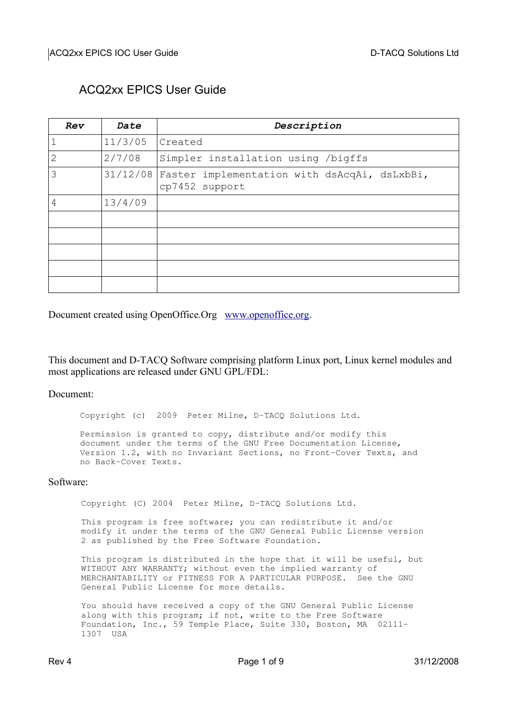### ACQ2xx EPICS User Guide

| Rev            | Date    | Description                                                             |  |
|----------------|---------|-------------------------------------------------------------------------|--|
|                | 11/3/05 | Created                                                                 |  |
| $\overline{2}$ | 2/7/08  | Simpler installation using /bigffs                                      |  |
| 3              |         | 31/12/08 Faster implementation with dsAcqAi, dsLxbBi,<br>cp7452 support |  |
| 4              | 13/4/09 |                                                                         |  |
|                |         |                                                                         |  |
|                |         |                                                                         |  |
|                |         |                                                                         |  |
|                |         |                                                                         |  |
|                |         |                                                                         |  |

Document created using OpenOffice.Org [www.openoffice.org.](http://www.openoffice.org/)

This document and D-TACQ Software comprising platform Linux port, Linux kernel modules and most applications are released under GNU GPL/FDL:

Document:

Copyright (c) 2009 Peter Milne, D-TACQ Solutions Ltd.

Permission is granted to copy, distribute and/or modify this document under the terms of the GNU Free Documentation License, Version 1.2, with no Invariant Sections, no Front-Cover Texts, and no Back-Cover Texts.

#### Software:

Copyright (C) 2004 Peter Milne, D-TACQ Solutions Ltd.

This program is free software; you can redistribute it and/or modify it under the terms of the GNU General Public License version 2 as published by the Free Software Foundation.

This program is distributed in the hope that it will be useful, but WITHOUT ANY WARRANTY; without even the implied warranty of MERCHANTABILITY or FITNESS FOR A PARTICULAR PURPOSE. See the GNU General Public License for more details.

You should have received a copy of the GNU General Public License along with this program; if not, write to the Free Software Foundation, Inc., 59 Temple Place, Suite 330, Boston, MA 02111 1307 USA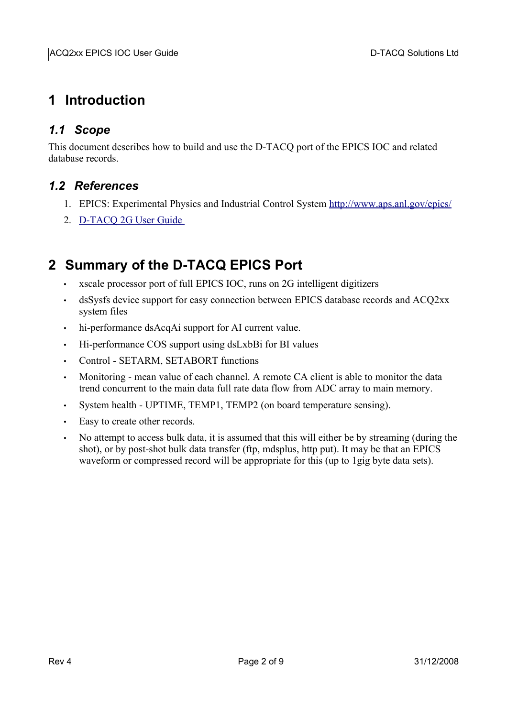# **1 Introduction**

### *1.1 Scope*

This document describes how to build and use the D-TACQ port of the EPICS IOC and related database records.

#### *1.2 References*

- 1. EPICS: Experimental Physics and Industrial Control System<http://www.aps.anl.gov/epics/>
- 2. [D-TACQ 2G User Guide](http://www.d-tacq.com/resources/D-Tacq_2G_UserGuide.pdf)

# **2 Summary of the D-TACQ EPICS Port**

- xscale processor port of full EPICS IOC, runs on 2G intelligent digitizers
- dsSysfs device support for easy connection between EPICS database records and ACQ2xx system files
- hi-performance dsAcqAi support for AI current value.
- Hi-performance COS support using dsLxbBi for BI values
- Control SETARM, SETABORT functions
- Monitoring mean value of each channel. A remote CA client is able to monitor the data trend concurrent to the main data full rate data flow from ADC array to main memory.
- System health UPTIME, TEMP1, TEMP2 (on board temperature sensing).
- Easy to create other records.
- No attempt to access bulk data, it is assumed that this will either be by streaming (during the shot), or by post-shot bulk data transfer (ftp, mdsplus, http put). It may be that an EPICS waveform or compressed record will be appropriate for this (up to 1gig byte data sets).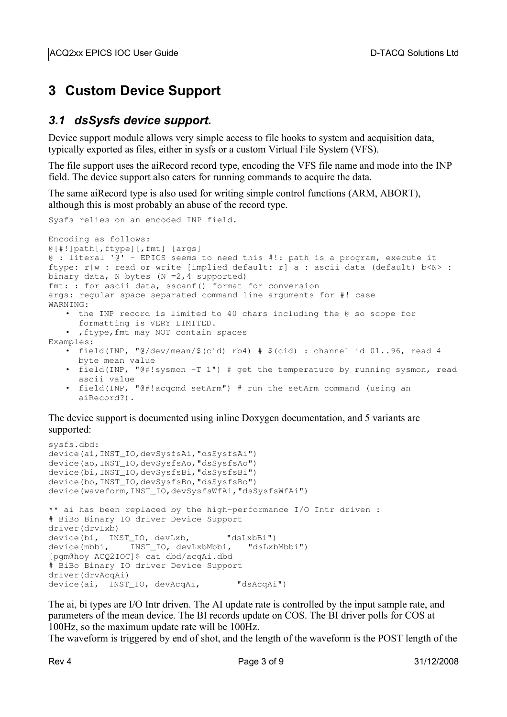# **3 Custom Device Support**

### *3.1 dsSysfs device support.*

Device support module allows very simple access to file hooks to system and acquisition data, typically exported as files, either in sysfs or a custom Virtual File System (VFS).

The file support uses the aiRecord record type, encoding the VFS file name and mode into the INP field. The device support also caters for running commands to acquire the data.

The same aiRecord type is also used for writing simple control functions (ARM, ABORT), although this is most probably an abuse of the record type.

```
Sysfs relies on an encoded INP field. 
Encoding as follows:
@[#!]path[,ftype][,fmt] [args]
@ : literal '@'  EPICS seems to need this #!: path is a program, execute it
ftype: r|w : read or write [implied default: r|a : ascii data (default) b<N> :
binary data, N bytes (N = 2, 4 supported)
fmt: : for ascii data, sscanf() format for conversion
args: regular space separated command line arguments for #! case
WARNING:
   • the INP record is limited to 40 chars including the @ so scope for
     formatting is VERY LIMITED.
   • ,ftype,fmt may NOT contain spaces
Examples:
   • field(INP, \sqrt{\frac{e}{\text{dev}}\text{mean}} / $(cid) \pm $(cid) : channel id 01..96, read 4
     byte mean value
   • field(INP, "@#!sysmon -T 1") # get the temperature by running sysmon, read
     ascii value
   • field(INP, "@#!acqcmd setArm") # run the setArm command (using an
      aiRecord?).
The device support is documented using inline Doxygen documentation, and 5 variants are
```

```
sysfs.dbd:
device(ai, INST_IO,devSysfsAi,"dsSysfsAi")
device(ao,INST_IO,devSysfsAo,"dsSysfsAo") 
device(bi,INST_IO,devSysfsBi,"dsSysfsBi") 
device(bo,INST_IO,devSysfsBo,"dsSysfsBo") 
device(waveform,INST_IO,devSysfsWfAi,"dsSysfsWfAi") 
** ai has been replaced by the high-performance I/O Intr driven :
# BiBo Binary IO driver Device Support 
driver(drvLxb) 
device(bi, INST_IO, devLxb, "dsLxbBi")
device(mbbi, INST IO, devLxbMbbi, "dsLxbMbbi")
[pgm@hoy ACQ2IOC]$ cat dbd/acqAi.dbd 
# BiBo Binary IO driver Device Support 
driver(drvAcqAi) 
device(ai, INST IO, devAcqAi, "dsAcqAi")
```
The ai, bi types are I/O Intr driven. The AI update rate is controlled by the input sample rate, and parameters of the mean device. The BI records update on COS. The BI driver polls for COS at 100Hz, so the maximum update rate will be 100Hz.

The waveform is triggered by end of shot, and the length of the waveform is the POST length of the

supported: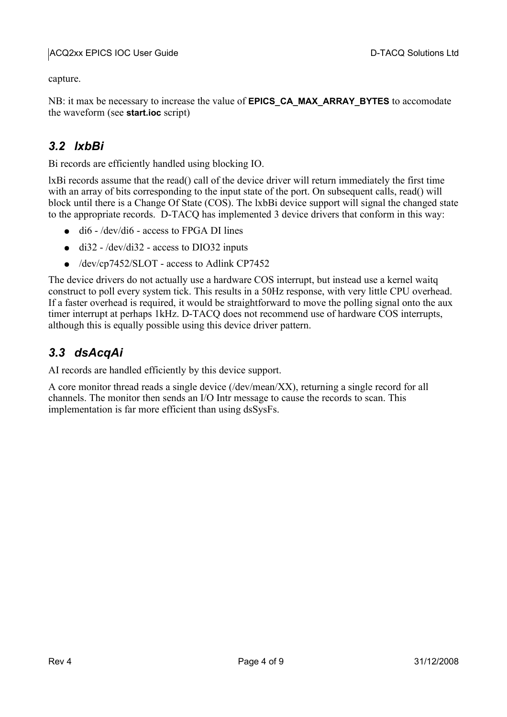capture.

NB: it max be necessary to increase the value of **EPICS\_CA\_MAX\_ARRAY\_BYTES** to accomodate the waveform (see **start.ioc** script)

### *3.2 lxbBi*

Bi records are efficiently handled using blocking IO.

lxBi records assume that the read() call of the device driver will return immediately the first time with an array of bits corresponding to the input state of the port. On subsequent calls, read() will block until there is a Change Of State (COS). The lxbBi device support will signal the changed state to the appropriate records. D-TACQ has implemented 3 device drivers that conform in this way:

- $\bullet$  dif /dev/dif access to FPGA DI lines
- $\bullet$  di32 /dev/di32 access to DIO32 inputs
- /dev/cp7452/SLOT access to Adlink CP7452

The device drivers do not actually use a hardware COS interrupt, but instead use a kernel waitq construct to poll every system tick. This results in a 50Hz response, with very little CPU overhead. If a faster overhead is required, it would be straightforward to move the polling signal onto the aux timer interrupt at perhaps 1kHz. D-TACQ does not recommend use of hardware COS interrupts, although this is equally possible using this device driver pattern.

### *3.3 dsAcqAi*

AI records are handled efficiently by this device support.

A core monitor thread reads a single device (/dev/mean/XX), returning a single record for all channels. The monitor then sends an I/O Intr message to cause the records to scan. This implementation is far more efficient than using dsSysFs.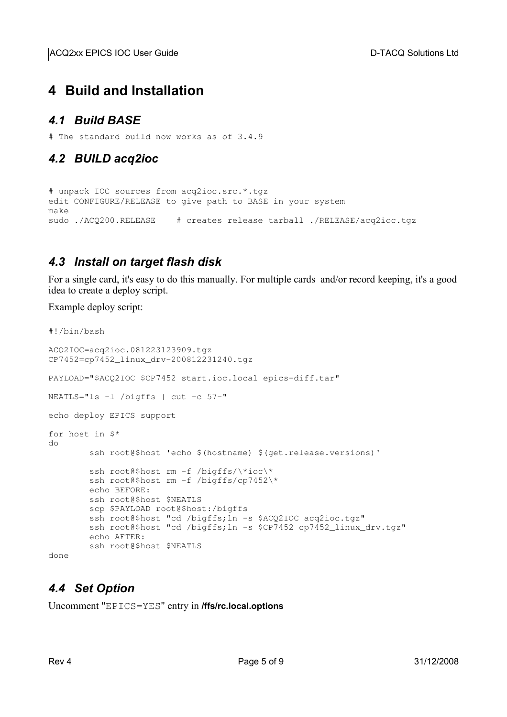ACQ2xx EPICS IOC User Guide **D-TACQ** Solutions Ltd

# **4 Build and Installation**

#### *4.1 Build BASE*

# The standard build now works as of 3.4.9

### *4.2 BUILD acq2ioc*

# unpack IOC sources from acq2ioc.src.\*.tgz edit CONFIGURE/RELEASE to give path to BASE in your system make sudo ./ACQ200.RELEASE # creates release tarball ./RELEASE/acq2ioc.tgz

#### *4.3 Install on target flash disk*

For a single card, it's easy to do this manually. For multiple cards and/or record keeping, it's a good idea to create a deploy script.

Example deploy script:

```
#!/bin/bash 
ACQ2IOC=acq2ioc.081223123909.tgz 
CP7452=cp7452_linux_drv200812231240.tgz 
PAYLOAD="$ACQ2IOC $CP7452 start.ioc.local epics-diff.tar"
NEATLS="ls -l /bigffs | cut -c 57-"echo deploy EPICS support 
for host in $* 
do 
                ssh root@$host 'echo $(hostname) $(get.release.versions)' 
        ssh root@$host rm -f /bigffs/\*ioc\*
        ssh root@$host rm -f /bigffs/cp7452\*
                echo BEFORE: 
                ssh root@$host $NEATLS 
                scp $PAYLOAD root@$host:/bigffs 
        ssh root@$host "cd /bigffs; ln -s $ACQ2IOC acq2ioc.tgz"
        ssh root@$host "cd /bigffs; ln -s $CP7452 cp7452_linux_drv.tgz"
                echo AFTER: 
                ssh root@$host $NEATLS
```
done

## *4.4 Set Option*

Uncomment "EPICS=YES" entry in **/ffs/rc.local.options**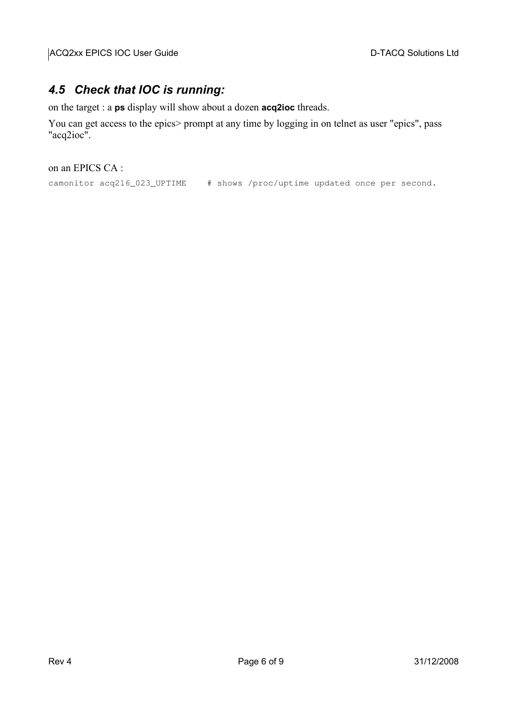#### *4.5 Check that IOC is running:*

on the target : a **ps** display will show about a dozen **acq2ioc** threads.

You can get access to the epics> prompt at any time by logging in on telnet as user "epics", pass "acq2ioc".

on an EPICS CA :

camonitor acq216\_023\_UPTIME # shows /proc/uptime updated once per second.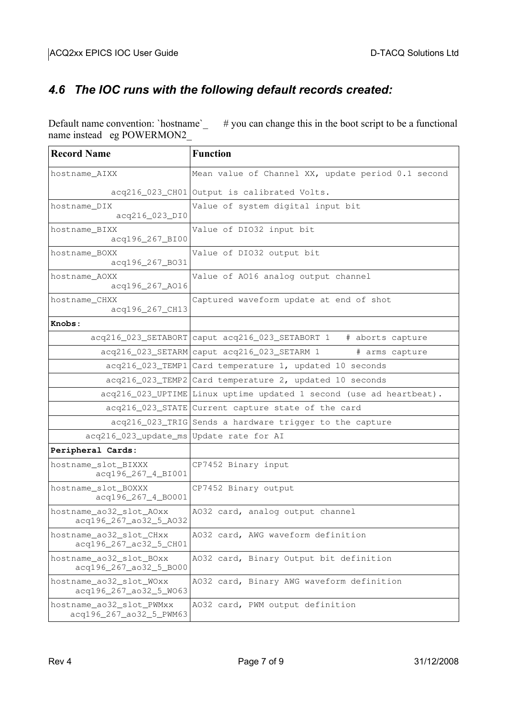## *4.6 The IOC runs with the following default records created:*

Default name convention: 'hostname'  $\mu$  you can change this in the boot script to be a functional name instead eg POWERMON2\_

| <b>Record Name</b>                                  | <b>Function</b>                                                     |  |  |  |
|-----------------------------------------------------|---------------------------------------------------------------------|--|--|--|
| hostname_AIXX                                       | Mean value of Channel XX, update period 0.1 second                  |  |  |  |
|                                                     | acq216_023_CH01 Output is calibrated Volts.                         |  |  |  |
| hostname DIX<br>acq216_023_DI0                      | Value of system digital input bit                                   |  |  |  |
| hostname BIXX<br>acq196_267_BI00                    | Value of DIO32 input bit                                            |  |  |  |
| hostname_BOXX<br>acq196_267_B031                    | Value of DIO32 output bit                                           |  |  |  |
| hostname AOXX<br>acq196_267_A016                    | Value of A016 analog output channel                                 |  |  |  |
| hostname_CHXX<br>acq196_267_CH13                    | Captured waveform update at end of shot                             |  |  |  |
| Knobs:                                              |                                                                     |  |  |  |
|                                                     | acq216_023_SETABORT caput acq216_023_SETABORT 1 # aborts capture    |  |  |  |
|                                                     | acq216_023_SETARM caput acq216_023_SETARM 1<br># arms capture       |  |  |  |
|                                                     | acq216_023_TEMP1 Card temperature 1, updated 10 seconds             |  |  |  |
|                                                     | acq216_023_TEMP2 Card temperature 2, updated 10 seconds             |  |  |  |
|                                                     | acq216_023_UPTIME Linux uptime updated 1 second (use ad heartbeat). |  |  |  |
|                                                     | acq216_023_STATE Current capture state of the card                  |  |  |  |
|                                                     | acq216_023_TRIG Sends a hardware trigger to the capture             |  |  |  |
| acq216_023_update_ms Update rate for AI             |                                                                     |  |  |  |
| Peripheral Cards:                                   |                                                                     |  |  |  |
| hostname_slot_BIXXX<br>acq196_267_4_BI001           | CP7452 Binary input                                                 |  |  |  |
| hostname_slot_BOXXX<br>acq196_267_4_B0001           | CP7452 Binary output                                                |  |  |  |
| hostname_ao32_slot_AOxx<br>acq196_267_ao32_5_A032   | A032 card, analog output channel                                    |  |  |  |
| hostname_ao32_slot_CHxx<br>acq196_267_ac32_5_CH01   | A032 card, AWG waveform definition                                  |  |  |  |
| hostname_ao32_slot_BOxx<br>acq196_267_ao32_5_BO00   | A032 card, Binary Output bit definition                             |  |  |  |
| hostname_ao32_slot_WOxx<br>acq196_267_ao32_5_W063   | A032 card, Binary AWG waveform definition                           |  |  |  |
| hostname_ao32_slot_PWMxx<br>acq196_267_ao32_5_PWM63 | A032 card, PWM output definition                                    |  |  |  |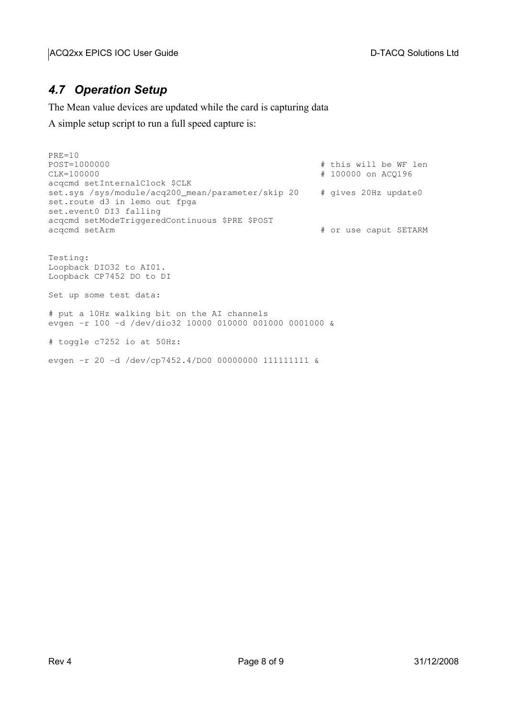### *4.7 Operation Setup*

The Mean value devices are updated while the card is capturing data

A simple setup script to run a full speed capture is:

```
PRE=10
POST=1000000 # this will be WF len
                                                   # 100000 on ACQ196
acqcmd setInternalClock $CLK
set.sys /sys/module/acq200_mean/parameter/skip 20  # gives 20Hz update0
set.route d3 in lemo out fpga
set.event0 DI3 falling
acqcmd setModeTriggeredContinuous $PRE $POST<br>acqcmd setArm
                                                   # or use caput SETARM
Testing:
Loopback DIO32 to AI01.
Loopback CP7452 DO to DI
Set up some test data:
# put a 10Hz walking bit on the AI channels
evgen -r 100 -d /dev/dio32 10000 010000 001000 0001000 &
# toggle c7252 io at 50Hz:
evgen -r 20 -d /dev/cp7452.4/DO0 00000000 111111111 &
```